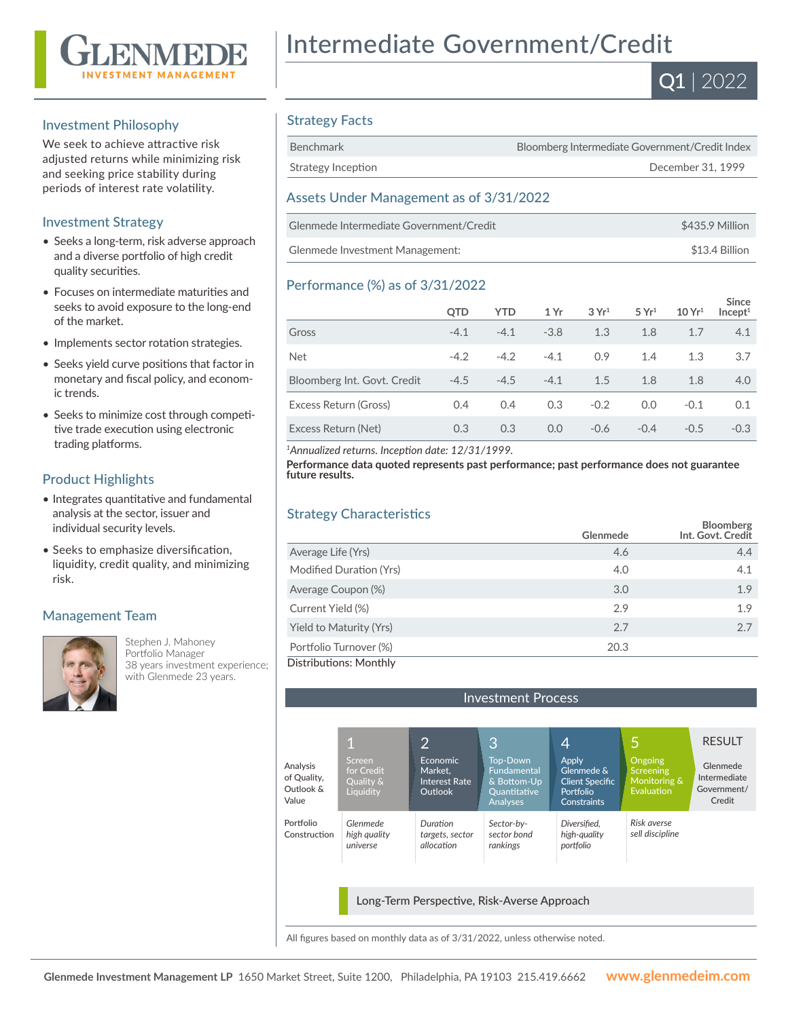

#### Investment Philosophy

We seek to achieve attractive risk adjusted returns while minimizing risk and seeking price stability during periods of interest rate volatility.

#### Investment Strategy

- Seeks a long-term, risk adverse approach and a diverse portfolio of high credit quality securities.
- Focuses on intermediate maturities and seeks to avoid exposure to the long-end of the market.
- Implements sector rotation strategies.
- Seeks yield curve positions that factor in monetary and fiscal policy, and economic trends.
- Seeks to minimize cost through competitive trade execution using electronic trading platforms.

#### Product Highlights

- Integrates quantitative and fundamental analysis at the sector, issuer and individual security levels.
- Seeks to emphasize diversification, liquidity, credit quality, and minimizing risk.

#### Management Team



Stephen J. Mahoney Portfolio Manager 38 years investment experience; with Glenmede 23 years.

# Intermediate Government/Credit



### Strategy Facts

| Benchmark          | Bloomberg Intermediate Government/Credit Index |
|--------------------|------------------------------------------------|
| Strategy Inception | December 31, 1999                              |
|                    |                                                |

#### Assets Under Management as of 3/31/2022

| Glenmede Intermediate Government/Credit | \$435.9 Million |
|-----------------------------------------|-----------------|
| Glenmede Investment Management:         | \$13.4 Billion  |

#### Performance (%) as of 3/31/2022

|                             | <b>OTD</b> | <b>YTD</b> | 1 Yr   | 3Yr <sup>1</sup> | 5 Yr <sup>1</sup> | 10 Yr <sup>1</sup> | <b>Since</b><br>Incept <sup>1</sup> |
|-----------------------------|------------|------------|--------|------------------|-------------------|--------------------|-------------------------------------|
| Gross                       | $-4.1$     | $-4.1$     | $-3.8$ | 1.3              | 1.8               | 1.7                | 4.1                                 |
| <b>Net</b>                  | $-4.2$     | $-4.2$     | $-4.1$ | 0.9              | 1.4               | 1.3                | 3.7                                 |
| Bloomberg Int. Govt. Credit | $-4.5$     | $-4.5$     | $-4.1$ | 1.5              | 1.8               | 1.8                | 4.0                                 |
| Excess Return (Gross)       | 0.4        | 0.4        | 0.3    | $-0.2$           | 0.0               | $-0.1$             | 0.1                                 |
| Excess Return (Net)         | 0.3        | 0.3        | 0.0    | $-0.6$           | $-0.4$            | $-0.5$             | $-0.3$                              |

*<sup>1</sup>Annualized returns. Inception date: 12/31/1999.*

**Performance data quoted represents past performance; past performance does not guarantee future results.**

### Strategy Characteristics

|                         | Glenmede | <b>Bloomberg</b><br>Int. Govt. Credit |
|-------------------------|----------|---------------------------------------|
| Average Life (Yrs)      | 4.6      | 4.4                                   |
| Modified Duration (Yrs) | 4.0      | 4.1                                   |
| Average Coupon (%)      | 3.0      | 1.9                                   |
| Current Yield (%)       | 2.9      | 1.9                                   |
| Yield to Maturity (Yrs) | 2.7      | 2.7                                   |
| Portfolio Turnover (%)  | 20.3     |                                       |
| Distributions: Monthly  |          |                                       |

Investment Process 1 2 3 4 Screen for Credit Quality & **Liquidity** *Glenmede high quality universe* Analysis of Quality, Outlook & Value Portfolio Construction Economic Market, Interest Rate Outlook *Duration targets, sector allocation* Top-Down Fundamental & Bottom-Up Quantitative Analyses *Sector-bysector bond rankings* Apply Glenmede & Client Specific Portfolio **Constraints** *Diversified, high-quality portfolio* Long-Term Perspective, Risk-Averse Approach RESULT Glenmede Intermediate Government/ Credit 5 **Ongoing** Screening Monitoring & .<br>Evaluation *Risk averse sell discipline*

All figures based on monthly data as of 3/31/2022, unless otherwise noted.